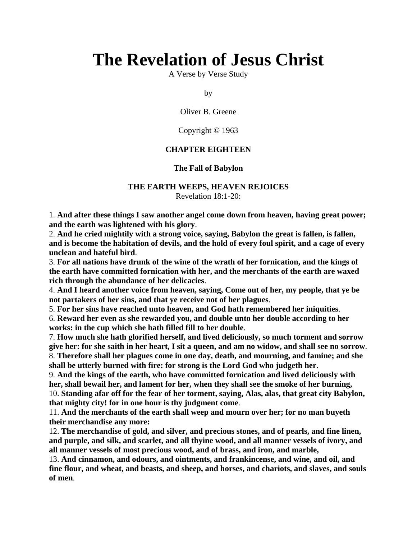# **The Revelation of Jesus Christ**

A Verse by Verse Study

by

Oliver B. Greene

Copyright © 1963

#### **CHAPTER EIGHTEEN**

#### **The Fall of Babylon**

#### **THE EARTH WEEPS, HEAVEN REJOICES** Revelation 18:1-20:

1. **And after these things I saw another angel come down from heaven, having great power; and the earth was lightened with his glory**.

2. **And he cried mightily with a strong voice, saying, Babylon the great is fallen, is fallen, and is become the habitation of devils, and the hold of every foul spirit, and a cage of every unclean and hateful bird**.

3. **For all nations have drunk of the wine of the wrath of her fornication, and the kings of the earth have committed fornication with her, and the merchants of the earth are waxed rich through the abundance of her delicacies**.

4. **And I heard another voice from heaven, saying, Come out of her, my people, that ye be not partakers of her sins, and that ye receive not of her plagues**.

5. **For her sins have reached unto heaven, and God hath remembered her iniquities**.

6. **Reward her even as she rewarded you, and double unto her double according to her works: in the cup which she hath filled fill to her double**.

7. **How much she hath glorified herself, and lived deliciously, so much torment and sorrow give her: for she saith in her heart, I sit a queen, and am no widow, and shall see no sorrow**. 8. **Therefore shall her plagues come in one day, death, and mourning, and famine; and she shall be utterly burned with fire: for strong is the Lord God who judgeth her**.

9. **And the kings of the earth, who have committed fornication and lived deliciously with her, shall bewail her, and lament for her, when they shall see the smoke of her burning,** 10. **Standing afar off for the fear of her torment, saying, Alas, alas, that great city Babylon, that mighty city! for in one hour is thy judgment come**.

11. **And the merchants of the earth shall weep and mourn over her; for no man buyeth their merchandise any more:**

12. **The merchandise of gold, and silver, and precious stones, and of pearls, and fine linen, and purple, and silk, and scarlet, and all thyine wood, and all manner vessels of ivory, and all manner vessels of most precious wood, and of brass, and iron, and marble,**

13. **And cinnamon, and odours, and ointments, and frankincense, and wine, and oil, and fine flour, and wheat, and beasts, and sheep, and horses, and chariots, and slaves, and souls of men**.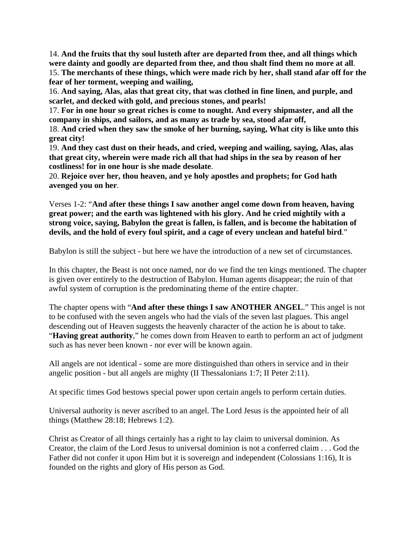14. **And the fruits that thy soul lusteth after are departed from thee, and all things which were dainty and goodly are departed from thee, and thou shalt find them no more at all**. 15. **The merchants of these things, which were made rich by her, shall stand afar off for the fear of her torment, weeping and wailing,**

16. **And saying, Alas, alas that great city, that was clothed in fine linen, and purple, and scarlet, and decked with gold, and precious stones, and pearls!**

17. **For in one hour so great riches is come to nought. And every shipmaster, and all the company in ships, and sailors, and as many as trade by sea, stood afar off,**

18. **And cried when they saw the smoke of her burning, saying, What city is like unto this great city!**

19. **And they cast dust on their heads, and cried, weeping and wailing, saying, Alas, alas that great city, wherein were made rich all that had ships in the sea by reason of her costliness! for in one hour is she made desolate**.

20. **Rejoice over her, thou heaven, and ye holy apostles and prophets; for God hath avenged you on her**.

Verses 1-2: "**And after these things I saw another angel come down from heaven, having great power; and the earth was lightened with his glory. And he cried mightily with a strong voice, saying, Babylon the great is fallen, is fallen, and is become the habitation of devils, and the hold of every foul spirit, and a cage of every unclean and hateful bird**."

Babylon is still the subject - but here we have the introduction of a new set of circumstances.

In this chapter, the Beast is not once named, nor do we find the ten kings mentioned. The chapter is given over entirely to the destruction of Babylon. Human agents disappear; the ruin of that awful system of corruption is the predominating theme of the entire chapter.

The chapter opens with "**And after these things I saw ANOTHER ANGEL**." This angel is not to be confused with the seven angels who had the vials of the seven last plagues. This angel descending out of Heaven suggests the heavenly character of the action he is about to take. "**Having great authority**," he comes down from Heaven to earth to perform an act of judgment such as has never been known - nor ever will be known again.

All angels are not identical - some are more distinguished than others in service and in their angelic position - but all angels are mighty (II Thessalonians 1:7; II Peter 2:11).

At specific times God bestows special power upon certain angels to perform certain duties.

Universal authority is never ascribed to an angel. The Lord Jesus is the appointed heir of all things (Matthew 28:18; Hebrews 1:2).

Christ as Creator of all things certainly has a right to lay claim to universal dominion. As Creator, the claim of the Lord Jesus to universal dominion is not a conferred claim . . . God the Father did not confer it upon Him but it is sovereign and independent (Colossians 1:16), It is founded on the rights and glory of His person as God.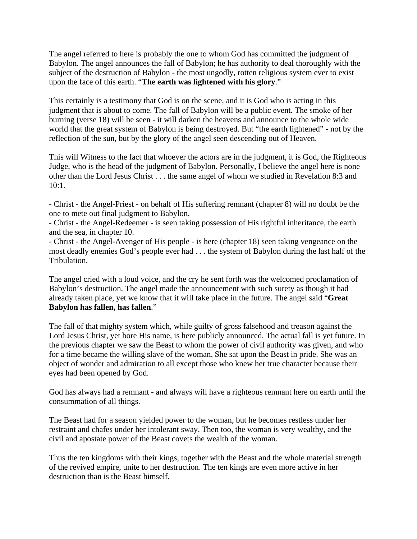The angel referred to here is probably the one to whom God has committed the judgment of Babylon. The angel announces the fall of Babylon; he has authority to deal thoroughly with the subject of the destruction of Babylon - the most ungodly, rotten religious system ever to exist upon the face of this earth. "**The earth was lightened with his glory**."

This certainly is a testimony that God is on the scene, and it is God who is acting in this judgment that is about to come. The fall of Babylon will be a public event. The smoke of her burning (verse 18) will be seen - it will darken the heavens and announce to the whole wide world that the great system of Babylon is being destroyed. But "the earth lightened" - not by the reflection of the sun, but by the glory of the angel seen descending out of Heaven.

This will Witness to the fact that whoever the actors are in the judgment, it is God, the Righteous Judge, who is the head of the judgment of Babylon. Personally, I believe the angel here is none other than the Lord Jesus Christ . . . the same angel of whom we studied in Revelation 8:3 and  $10:1$ .

- Christ - the Angel-Priest - on behalf of His suffering remnant (chapter 8) will no doubt be the one to mete out final judgment to Babylon.

- Christ - the Angel-Redeemer - is seen taking possession of His rightful inheritance, the earth and the sea, in chapter 10.

- Christ - the Angel-Avenger of His people - is here (chapter 18) seen taking vengeance on the most deadly enemies God's people ever had . . . the system of Babylon during the last half of the Tribulation.

The angel cried with a loud voice, and the cry he sent forth was the welcomed proclamation of Babylon's destruction. The angel made the announcement with such surety as though it had already taken place, yet we know that it will take place in the future. The angel said "**Great Babylon has fallen, has fallen**."

The fall of that mighty system which, while guilty of gross falsehood and treason against the Lord Jesus Christ, yet bore His name, is here publicly announced. The actual fall is yet future. In the previous chapter we saw the Beast to whom the power of civil authority was given, and who for a time became the willing slave of the woman. She sat upon the Beast in pride. She was an object of wonder and admiration to all except those who knew her true character because their eyes had been opened by God.

God has always had a remnant - and always will have a righteous remnant here on earth until the consummation of all things.

The Beast had for a season yielded power to the woman, but he becomes restless under her restraint and chafes under her intolerant sway. Then too, the woman is very wealthy, and the civil and apostate power of the Beast covets the wealth of the woman.

Thus the ten kingdoms with their kings, together with the Beast and the whole material strength of the revived empire, unite to her destruction. The ten kings are even more active in her destruction than is the Beast himself.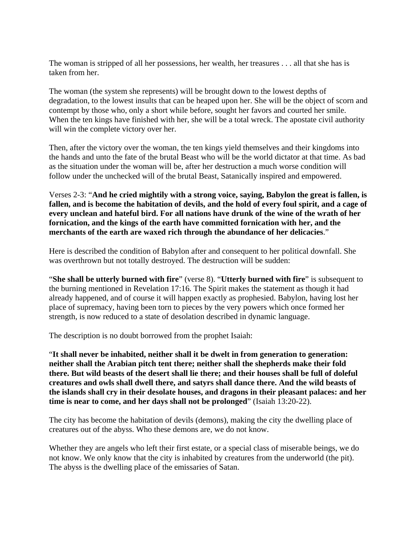The woman is stripped of all her possessions, her wealth, her treasures . . . all that she has is taken from her.

The woman (the system she represents) will be brought down to the lowest depths of degradation, to the lowest insults that can be heaped upon her. She will be the object of scorn and contempt by those who, only a short while before, sought her favors and courted her smile. When the ten kings have finished with her, she will be a total wreck. The apostate civil authority will win the complete victory over her.

Then, after the victory over the woman, the ten kings yield themselves and their kingdoms into the hands and unto the fate of the brutal Beast who will be the world dictator at that time. As bad as the situation under the woman will be, after her destruction a much worse condition will follow under the unchecked will of the brutal Beast, Satanically inspired and empowered.

Verses 2-3: "**And he cried mightily with a strong voice, saying, Babylon the great is fallen, is fallen, and is become the habitation of devils, and the hold of every foul spirit, and a cage of every unclean and hateful bird. For all nations have drunk of the wine of the wrath of her fornication, and the kings of the earth have committed fornication with her, and the merchants of the earth are waxed rich through the abundance of her delicacies**."

Here is described the condition of Babylon after and consequent to her political downfall. She was overthrown but not totally destroyed. The destruction will be sudden:

"**She shall be utterly burned with fire**" (verse 8). "**Utterly burned with fire**" is subsequent to the burning mentioned in Revelation 17:16. The Spirit makes the statement as though it had already happened, and of course it will happen exactly as prophesied. Babylon, having lost her place of supremacy, having been torn to pieces by the very powers which once formed her strength, is now reduced to a state of desolation described in dynamic language.

The description is no doubt borrowed from the prophet Isaiah:

"**It shall never be inhabited, neither shall it be dwelt in from generation to generation: neither shall the Arabian pitch tent there; neither shall the shepherds make their fold there. But wild beasts of the desert shall lie there; and their houses shall be full of doleful creatures and owls shall dwell there, and satyrs shall dance there. And the wild beasts of the islands shall cry in their desolate houses, and dragons in their pleasant palaces: and her time is near to come, and her days shall not be prolonged**" (Isaiah 13:20-22).

The city has become the habitation of devils (demons), making the city the dwelling place of creatures out of the abyss. Who these demons are, we do not know.

Whether they are angels who left their first estate, or a special class of miserable beings, we do not know. We only know that the city is inhabited by creatures from the underworld (the pit). The abyss is the dwelling place of the emissaries of Satan.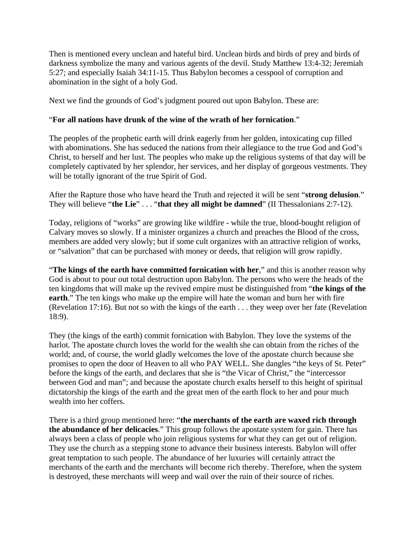Then is mentioned every unclean and hateful bird. Unclean birds and birds of prey and birds of darkness symbolize the many and various agents of the devil. Study Matthew 13:4-32; Jeremiah 5:27; and especially Isaiah 34:11-15. Thus Babylon becomes a cesspool of corruption and abomination in the sight of a holy God.

Next we find the grounds of God's judgment poured out upon Babylon. These are:

## "**For all nations have drunk of the wine of the wrath of her fornication**."

The peoples of the prophetic earth will drink eagerly from her golden, intoxicating cup filled with abominations. She has seduced the nations from their allegiance to the true God and God's Christ, to herself and her lust. The peoples who make up the religious systems of that day will be completely captivated by her splendor, her services, and her display of gorgeous vestments. They will be totally ignorant of the true Spirit of God.

After the Rapture those who have heard the Truth and rejected it will be sent "**strong delusion**." They will believe "**the Lie**" . . . "**that they all might be damned**" (II Thessalonians 2:7-12).

Today, religions of "works" are growing like wildfire - while the true, blood-bought religion of Calvary moves so slowly. If a minister organizes a church and preaches the Blood of the cross, members are added very slowly; but if some cult organizes with an attractive religion of works, or "salvation" that can be purchased with money or deeds, that religion will grow rapidly.

"**The kings of the earth have committed fornication with her**," and this is another reason why God is about to pour out total destruction upon Babylon. The persons who were the heads of the ten kingdoms that will make up the revived empire must be distinguished from "**the kings of the earth**." The ten kings who make up the empire will hate the woman and burn her with fire (Revelation 17:16). But not so with the kings of the earth . . . they weep over her fate (Revelation 18:9).

They (the kings of the earth) commit fornication with Babylon. They love the systems of the harlot. The apostate church loves the world for the wealth she can obtain from the riches of the world; and, of course, the world gladly welcomes the love of the apostate church because she promises to open the door of Heaven to all who PAY WELL. She dangles "the keys of St. Peter" before the kings of the earth, and declares that she is "the Vicar of Christ," the "intercessor between God and man"; and because the apostate church exalts herself to this height of spiritual dictatorship the kings of the earth and the great men of the earth flock to her and pour much wealth into her coffers.

There is a third group mentioned here: "**the merchants of the earth are waxed rich through the abundance of her delicacies**." This group follows the apostate system for gain. There has always been a class of people who join religious systems for what they can get out of religion. They use the church as a stepping stone to advance their business interests. Babylon will offer great temptation to such people. The abundance of her luxuries will certainly attract the merchants of the earth and the merchants will become rich thereby. Therefore, when the system is destroyed, these merchants will weep and wail over the ruin of their source of riches.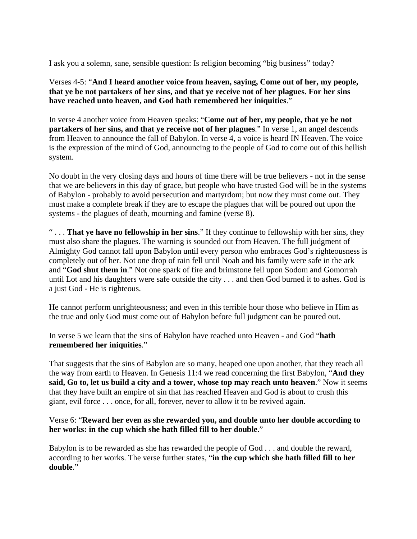I ask you a solemn, sane, sensible question: Is religion becoming "big business" today?

Verses 4-5: "**And I heard another voice from heaven, saying, Come out of her, my people, that ye be not partakers of her sins, and that ye receive not of her plagues. For her sins have reached unto heaven, and God hath remembered her iniquities**."

In verse 4 another voice from Heaven speaks: "**Come out of her, my people, that ye be not partakers of her sins, and that ye receive not of her plagues**." In verse 1, an angel descends from Heaven to announce the fall of Babylon. In verse 4, a voice is heard IN Heaven. The voice is the expression of the mind of God, announcing to the people of God to come out of this hellish system.

No doubt in the very closing days and hours of time there will be true believers - not in the sense that we are believers in this day of grace, but people who have trusted God will be in the systems of Babylon - probably to avoid persecution and martyrdom; but now they must come out. They must make a complete break if they are to escape the plagues that will be poured out upon the systems - the plagues of death, mourning and famine (verse 8).

" . . . **That ye have no fellowship in her sins**." If they continue to fellowship with her sins, they must also share the plagues. The warning is sounded out from Heaven. The full judgment of Almighty God cannot fall upon Babylon until every person who embraces God's righteousness is completely out of her. Not one drop of rain fell until Noah and his family were safe in the ark and "**God shut them in**." Not one spark of fire and brimstone fell upon Sodom and Gomorrah until Lot and his daughters were safe outside the city . . . and then God burned it to ashes. God is a just God - He is righteous.

He cannot perform unrighteousness; and even in this terrible hour those who believe in Him as the true and only God must come out of Babylon before full judgment can be poured out.

In verse 5 we learn that the sins of Babylon have reached unto Heaven - and God "**hath remembered her iniquities**."

That suggests that the sins of Babylon are so many, heaped one upon another, that they reach all the way from earth to Heaven. In Genesis 11:4 we read concerning the first Babylon, "**And they said, Go to, let us build a city and a tower, whose top may reach unto heaven**." Now it seems that they have built an empire of sin that has reached Heaven and God is about to crush this giant, evil force . . . once, for all, forever, never to allow it to be revived again.

Verse 6: "**Reward her even as she rewarded you, and double unto her double according to her works: in the cup which she hath filled fill to her double**."

Babylon is to be rewarded as she has rewarded the people of God . . . and double the reward, according to her works. The verse further states, "**in the cup which she hath filled fill to her double**."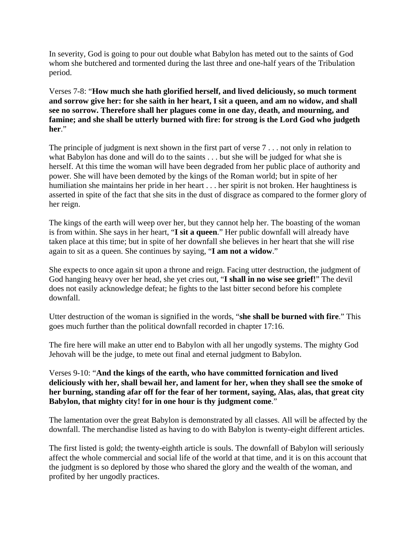In severity, God is going to pour out double what Babylon has meted out to the saints of God whom she butchered and tormented during the last three and one-half years of the Tribulation period.

Verses 7-8: "**How much she hath glorified herself, and lived deliciously, so much torment and sorrow give her: for she saith in her heart, I sit a queen, and am no widow, and shall see no sorrow. Therefore shall her plagues come in one day, death, and mourning, and famine; and she shall be utterly burned with fire: for strong is the Lord God who judgeth her**."

The principle of judgment is next shown in the first part of verse 7 . . . not only in relation to what Babylon has done and will do to the saints . . . but she will be judged for what she is herself. At this time the woman will have been degraded from her public place of authority and power. She will have been demoted by the kings of the Roman world; but in spite of her humiliation she maintains her pride in her heart . . . her spirit is not broken. Her haughtiness is asserted in spite of the fact that she sits in the dust of disgrace as compared to the former glory of her reign.

The kings of the earth will weep over her, but they cannot help her. The boasting of the woman is from within. She says in her heart, "**I sit a queen**." Her public downfall will already have taken place at this time; but in spite of her downfall she believes in her heart that she will rise again to sit as a queen. She continues by saying, "**I am not a widow**."

She expects to once again sit upon a throne and reign. Facing utter destruction, the judgment of God hanging heavy over her head, she yet cries out, "**I shall in no wise see grief!**" The devil does not easily acknowledge defeat; he fights to the last bitter second before his complete downfall.

Utter destruction of the woman is signified in the words, "**she shall be burned with fire**." This goes much further than the political downfall recorded in chapter 17:16.

The fire here will make an utter end to Babylon with all her ungodly systems. The mighty God Jehovah will be the judge, to mete out final and eternal judgment to Babylon.

Verses 9-10: "**And the kings of the earth, who have committed fornication and lived deliciously with her, shall bewail her, and lament for her, when they shall see the smoke of her burning, standing afar off for the fear of her torment, saying, Alas, alas, that great city Babylon, that mighty city! for in one hour is thy judgment come**."

The lamentation over the great Babylon is demonstrated by all classes. All will be affected by the downfall. The merchandise listed as having to do with Babylon is twenty-eight different articles.

The first listed is gold; the twenty-eighth article is souls. The downfall of Babylon will seriously affect the whole commercial and social life of the world at that time, and it is on this account that the judgment is so deplored by those who shared the glory and the wealth of the woman, and profited by her ungodly practices.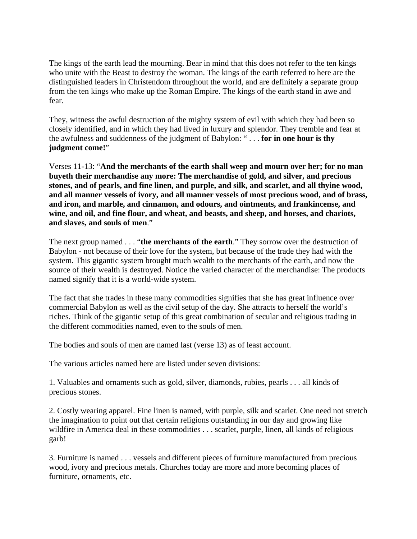The kings of the earth lead the mourning. Bear in mind that this does not refer to the ten kings who unite with the Beast to destroy the woman. The kings of the earth referred to here are the distinguished leaders in Christendom throughout the world, and are definitely a separate group from the ten kings who make up the Roman Empire. The kings of the earth stand in awe and fear.

They, witness the awful destruction of the mighty system of evil with which they had been so closely identified, and in which they had lived in luxury and splendor. They tremble and fear at the awfulness and suddenness of the judgment of Babylon: " . . . **for in one hour is thy judgment come!**"

Verses 11-13: "**And the merchants of the earth shall weep and mourn over her; for no man buyeth their merchandise any more: The merchandise of gold, and silver, and precious stones, and of pearls, and fine linen, and purple, and silk, and scarlet, and all thyine wood, and all manner vessels of ivory, and all manner vessels of most precious wood, and of brass, and iron, and marble, and cinnamon, and odours, and ointments, and frankincense, and wine, and oil, and fine flour, and wheat, and beasts, and sheep, and horses, and chariots, and slaves, and souls of men**."

The next group named . . . "**the merchants of the earth**." They sorrow over the destruction of Babylon - not because of their love for the system, but because of the trade they had with the system. This gigantic system brought much wealth to the merchants of the earth, and now the source of their wealth is destroyed. Notice the varied character of the merchandise: The products named signify that it is a world-wide system.

The fact that she trades in these many commodities signifies that she has great influence over commercial Babylon as well as the civil setup of the day. She attracts to herself the world's riches. Think of the gigantic setup of this great combination of secular and religious trading in the different commodities named, even to the souls of men.

The bodies and souls of men are named last (verse 13) as of least account.

The various articles named here are listed under seven divisions:

1. Valuables and ornaments such as gold, silver, diamonds, rubies, pearls . . . all kinds of precious stones.

2. Costly wearing apparel. Fine linen is named, with purple, silk and scarlet. One need not stretch the imagination to point out that certain religions outstanding in our day and growing like wildfire in America deal in these commodities . . . scarlet, purple, linen, all kinds of religious garb!

3. Furniture is named . . . vessels and different pieces of furniture manufactured from precious wood, ivory and precious metals. Churches today are more and more becoming places of furniture, ornaments, etc.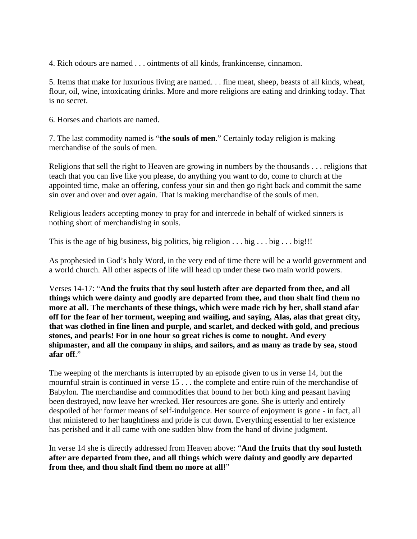4. Rich odours are named . . . ointments of all kinds, frankincense, cinnamon.

5. Items that make for luxurious living are named. . . fine meat, sheep, beasts of all kinds, wheat, flour, oil, wine, intoxicating drinks. More and more religions are eating and drinking today. That is no secret.

6. Horses and chariots are named.

7. The last commodity named is "**the souls of men**." Certainly today religion is making merchandise of the souls of men.

Religions that sell the right to Heaven are growing in numbers by the thousands . . . religions that teach that you can live like you please, do anything you want to do, come to church at the appointed time, make an offering, confess your sin and then go right back and commit the same sin over and over and over again. That is making merchandise of the souls of men.

Religious leaders accepting money to pray for and intercede in behalf of wicked sinners is nothing short of merchandising in souls.

This is the age of big business, big politics, big religion  $\dots$  big  $\dots$  big . . . big!!!

As prophesied in God's holy Word, in the very end of time there will be a world government and a world church. All other aspects of life will head up under these two main world powers.

Verses 14-17: "**And the fruits that thy soul lusteth after are departed from thee, and all things which were dainty and goodly are departed from thee, and thou shalt find them no more at all. The merchants of these things, which were made rich by her, shall stand afar off for the fear of her torment, weeping and wailing, and saying, Alas, alas that great city, that was clothed in fine linen and purple, and scarlet, and decked with gold, and precious stones, and pearls! For in one hour so great riches is come to nought. And every shipmaster, and all the company in ships, and sailors, and as many as trade by sea, stood afar off**."

The weeping of the merchants is interrupted by an episode given to us in verse 14, but the mournful strain is continued in verse 15 . . . the complete and entire ruin of the merchandise of Babylon. The merchandise and commodities that bound to her both king and peasant having been destroyed, now leave her wrecked. Her resources are gone. She is utterly and entirely despoiled of her former means of self-indulgence. Her source of enjoyment is gone - in fact, all that ministered to her haughtiness and pride is cut down. Everything essential to her existence has perished and it all came with one sudden blow from the hand of divine judgment.

In verse 14 she is directly addressed from Heaven above: "**And the fruits that thy soul lusteth after are departed from thee, and all things which were dainty and goodly are departed from thee, and thou shalt find them no more at all!**"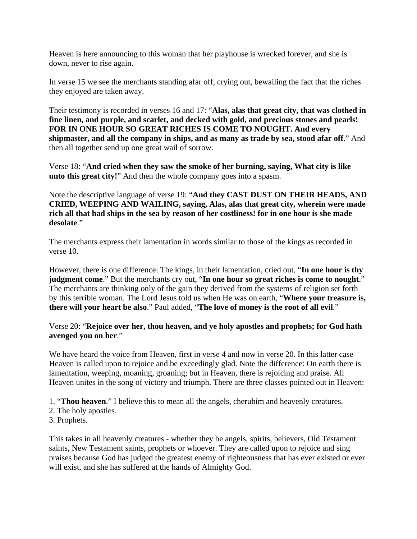Heaven is here announcing to this woman that her playhouse is wrecked forever, and she is down, never to rise again.

In verse 15 we see the merchants standing afar off, crying out, bewailing the fact that the riches they enjoyed are taken away.

Their testimony is recorded in verses 16 and 17: "**Alas, alas that great city, that was clothed in fine linen, and purple, and scarlet, and decked with gold, and precious stones and pearls! FOR IN ONE HOUR SO GREAT RICHES IS COME TO NOUGHT. And every shipmaster, and all the company in ships, and as many as trade by sea, stood afar off**." And then all together send up one great wail of sorrow.

Verse 18: "**And cried when they saw the smoke of her burning, saying, What city is like unto this great city!**" And then the whole company goes into a spasm.

Note the descriptive language of verse 19: "**And they CAST DUST ON THEIR HEADS, AND CRIED, WEEPING AND WAILING, saying, Alas, alas that great city, wherein were made rich all that had ships in the sea by reason of her costliness! for in one hour is she made desolate**."

The merchants express their lamentation in words similar to those of the kings as recorded in verse 10.

However, there is one difference: The kings, in their lamentation, cried out, "**In one hour is thy judgment come**." But the merchants cry out, "**In one hour so great riches is come to nought**." The merchants are thinking only of the gain they derived from the systems of religion set forth by this terrible woman. The Lord Jesus told us when He was on earth, "**Where your treasure is, there will your heart be also**." Paul added, "**The love of money is the root of all evil**."

Verse 20: "**Rejoice over her, thou heaven, and ye holy apostles and prophets; for God hath avenged you on her**."

We have heard the voice from Heaven, first in verse 4 and now in verse 20. In this latter case Heaven is called upon to rejoice and be exceedingly glad. Note the difference: On earth there is lamentation, weeping, moaning, groaning; but in Heaven, there is rejoicing and praise. All Heaven unites in the song of victory and triumph. There are three classes pointed out in Heaven:

1. "**Thou heaven**." I believe this to mean all the angels, cherubim and heavenly creatures.

- 2. The holy apostles.
- 3. Prophets.

This takes in all heavenly creatures - whether they be angels, spirits, believers, Old Testament saints, New Testament saints, prophets or whoever. They are called upon to rejoice and sing praises because God has judged the greatest enemy of righteousness that has ever existed or ever will exist, and she has suffered at the hands of Almighty God.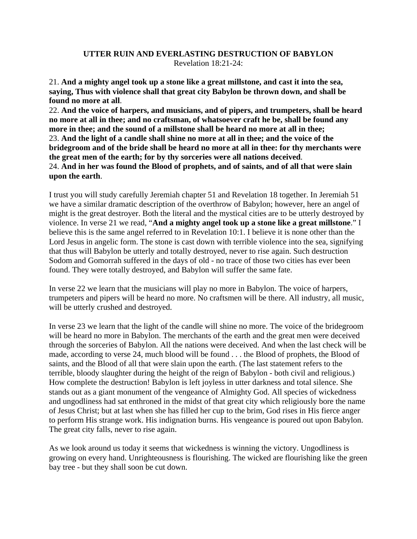### **UTTER RUIN AND EVERLASTING DESTRUCTION OF BABYLON** Revelation 18:21-24:

21. **And a mighty angel took up a stone like a great millstone, and cast it into the sea, saying, Thus with violence shall that great city Babylon be thrown down, and shall be found no more at all**.

22. **And the voice of harpers, and musicians, and of pipers, and trumpeters, shall be heard no more at all in thee; and no craftsman, of whatsoever craft he be, shall be found any more in thee; and the sound of a millstone shall be heard no more at all in thee;** 23. **And the light of a candle shall shine no more at all in thee; and the voice of the bridegroom and of the bride shall be heard no more at all in thee: for thy merchants were the great men of the earth; for by thy sorceries were all nations deceived**. 24. **And in her was found the Blood of prophets, and of saints, and of all that were slain upon the earth**.

I trust you will study carefully Jeremiah chapter 51 and Revelation 18 together. In Jeremiah 51 we have a similar dramatic description of the overthrow of Babylon; however, here an angel of might is the great destroyer. Both the literal and the mystical cities are to be utterly destroyed by violence. In verse 21 we read, "**And a mighty angel took up a stone like a great millstone**." I believe this is the same angel referred to in Revelation 10:1. I believe it is none other than the Lord Jesus in angelic form. The stone is cast down with terrible violence into the sea, signifying that thus will Babylon be utterly and totally destroyed, never to rise again. Such destruction Sodom and Gomorrah suffered in the days of old - no trace of those two cities has ever been found. They were totally destroyed, and Babylon will suffer the same fate.

In verse 22 we learn that the musicians will play no more in Babylon. The voice of harpers, trumpeters and pipers will be heard no more. No craftsmen will be there. All industry, all music, will be utterly crushed and destroyed.

In verse 23 we learn that the light of the candle will shine no more. The voice of the bridegroom will be heard no more in Babylon. The merchants of the earth and the great men were deceived through the sorceries of Babylon. All the nations were deceived. And when the last check will be made, according to verse 24, much blood will be found . . . the Blood of prophets, the Blood of saints, and the Blood of all that were slain upon the earth. (The last statement refers to the terrible, bloody slaughter during the height of the reign of Babylon - both civil and religious.) How complete the destruction! Babylon is left joyless in utter darkness and total silence. She stands out as a giant monument of the vengeance of Almighty God. All species of wickedness and ungodliness had sat enthroned in the midst of that great city which religiously bore the name of Jesus Christ; but at last when she has filled her cup to the brim, God rises in His fierce anger to perform His strange work. His indignation burns. His vengeance is poured out upon Babylon. The great city falls, never to rise again.

As we look around us today it seems that wickedness is winning the victory. Ungodliness is growing on every hand. Unrighteousness is flourishing. The wicked are flourishing like the green bay tree - but they shall soon be cut down.